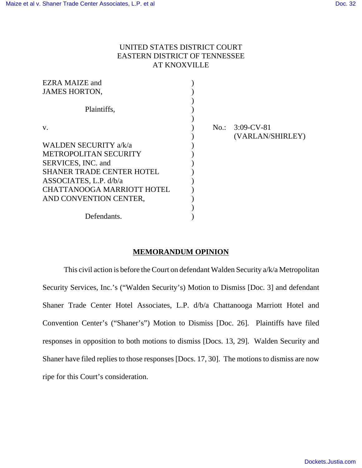## UNITED STATES DISTRICT COURT EASTERN DISTRICT OF TENNESSEE AT KNOXVILLE

| <b>EZRA MAIZE and</b>             |  |                   |
|-----------------------------------|--|-------------------|
| <b>JAMES HORTON,</b>              |  |                   |
|                                   |  |                   |
| Plaintiffs,                       |  |                   |
|                                   |  |                   |
| $V_{\rm A}$                       |  | $No.: 3:09-CV-81$ |
|                                   |  | (VARLAN/SHIRLEY)  |
| WALDEN SECURITY a/k/a             |  |                   |
| <b>METROPOLITAN SECURITY</b>      |  |                   |
| SERVICES, INC. and                |  |                   |
| <b>SHANER TRADE CENTER HOTEL</b>  |  |                   |
| ASSOCIATES, L.P. d/b/a            |  |                   |
| <b>CHATTANOOGA MARRIOTT HOTEL</b> |  |                   |
| AND CONVENTION CENTER,            |  |                   |
|                                   |  |                   |
| Defendants.                       |  |                   |

## **MEMORANDUM OPINION**

This civil action is before the Court on defendant Walden Security a/k/a Metropolitan Security Services, Inc.'s ("Walden Security's) Motion to Dismiss [Doc. 3] and defendant Shaner Trade Center Hotel Associates, L.P. d/b/a Chattanooga Marriott Hotel and Convention Center's ("Shaner's") Motion to Dismiss [Doc. 26]. Plaintiffs have filed responses in opposition to both motions to dismiss [Docs. 13, 29]. Walden Security and Shaner have filed replies to those responses [Docs. 17, 30]. The motions to dismiss are now ripe for this Court's consideration.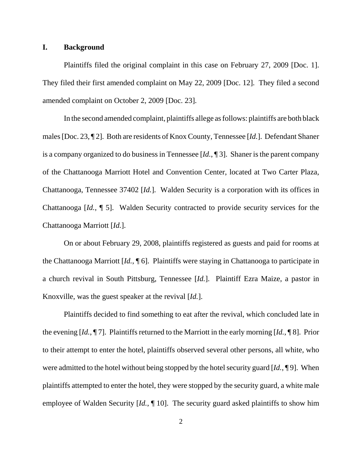## **I. Background**

Plaintiffs filed the original complaint in this case on February 27, 2009 [Doc. 1]. They filed their first amended complaint on May 22, 2009 [Doc. 12]. They filed a second amended complaint on October 2, 2009 [Doc. 23].

In the second amended complaint, plaintiffs allege as follows: plaintiffs are both black males [Doc. 23, ¶ 2]. Both are residents of Knox County, Tennessee [*Id.*]. Defendant Shaner is a company organized to do business in Tennessee [*Id.*, ¶ 3]. Shaner is the parent company of the Chattanooga Marriott Hotel and Convention Center, located at Two Carter Plaza, Chattanooga, Tennessee 37402 [*Id.*]. Walden Security is a corporation with its offices in Chattanooga [*Id.*, ¶ 5]. Walden Security contracted to provide security services for the Chattanooga Marriott [*Id.*].

On or about February 29, 2008, plaintiffs registered as guests and paid for rooms at the Chattanooga Marriott [*Id.*, ¶ 6]. Plaintiffs were staying in Chattanooga to participate in a church revival in South Pittsburg, Tennessee [*Id.*]. Plaintiff Ezra Maize, a pastor in Knoxville, was the guest speaker at the revival [*Id.*].

Plaintiffs decided to find something to eat after the revival, which concluded late in the evening [*Id.*, ¶ 7]. Plaintiffs returned to the Marriott in the early morning [*Id.*, ¶ 8]. Prior to their attempt to enter the hotel, plaintiffs observed several other persons, all white, who were admitted to the hotel without being stopped by the hotel security guard [*Id.*, ¶ 9]. When plaintiffs attempted to enter the hotel, they were stopped by the security guard, a white male employee of Walden Security [*Id.*, ¶ 10]. The security guard asked plaintiffs to show him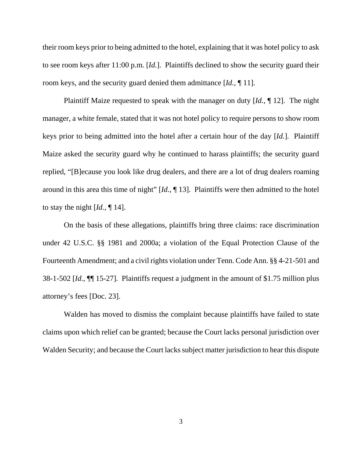their room keys prior to being admitted to the hotel, explaining that it was hotel policy to ask to see room keys after 11:00 p.m. [*Id.*]. Plaintiffs declined to show the security guard their room keys, and the security guard denied them admittance [*Id.*, ¶ 11].

Plaintiff Maize requested to speak with the manager on duty [*Id.*, ¶ 12]. The night manager, a white female, stated that it was not hotel policy to require persons to show room keys prior to being admitted into the hotel after a certain hour of the day [*Id.*]. Plaintiff Maize asked the security guard why he continued to harass plaintiffs; the security guard replied, "[B]ecause you look like drug dealers, and there are a lot of drug dealers roaming around in this area this time of night" [*Id.*, ¶ 13]. Plaintiffs were then admitted to the hotel to stay the night [*Id.*, ¶ 14].

On the basis of these allegations, plaintiffs bring three claims: race discrimination under 42 U.S.C. §§ 1981 and 2000a; a violation of the Equal Protection Clause of the Fourteenth Amendment; and a civil rights violation under Tenn. Code Ann. §§ 4-21-501 and 38-1-502 [*Id.*, ¶¶ 15-27]. Plaintiffs request a judgment in the amount of \$1.75 million plus attorney's fees [Doc. 23].

Walden has moved to dismiss the complaint because plaintiffs have failed to state claims upon which relief can be granted; because the Court lacks personal jurisdiction over Walden Security; and because the Court lacks subject matter jurisdiction to hear this dispute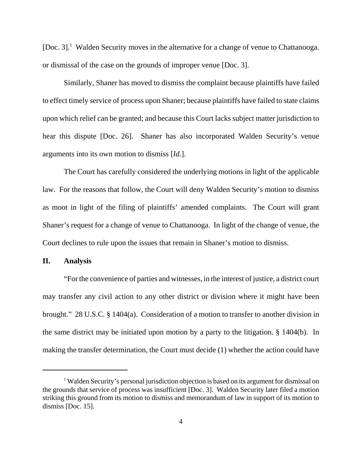[Doc. 3].<sup>1</sup> Walden Security moves in the alternative for a change of venue to Chattanooga. or dismissal of the case on the grounds of improper venue [Doc. 3].

Similarly, Shaner has moved to dismiss the complaint because plaintiffs have failed to effect timely service of process upon Shaner; because plaintiffs have failed to state claims upon which relief can be granted; and because this Court lacks subject matter jurisdiction to hear this dispute [Doc. 26]. Shaner has also incorporated Walden Security's venue arguments into its own motion to dismiss [*Id.*].

The Court has carefully considered the underlying motions in light of the applicable law. For the reasons that follow, the Court will deny Walden Security's motion to dismiss as moot in light of the filing of plaintiffs' amended complaints. The Court will grant Shaner's request for a change of venue to Chattanooga. In light of the change of venue, the Court declines to rule upon the issues that remain in Shaner's motion to dismiss.

**II. Analysis**

"For the convenience of parties and witnesses, in the interest of justice, a district court may transfer any civil action to any other district or division where it might have been brought." 28 U.S.C. § 1404(a). Consideration of a motion to transfer to another division in the same district may be initiated upon motion by a party to the litigation. § 1404(b). In making the transfer determination, the Court must decide (1) whether the action could have

<sup>&</sup>lt;sup>1</sup> Walden Security's personal jurisdiction objection is based on its argument for dismissal on the grounds that service of process was insufficient [Doc. 3]. Walden Security later filed a motion striking this ground from its motion to dismiss and memorandum of law in support of its motion to dismiss [Doc. 15].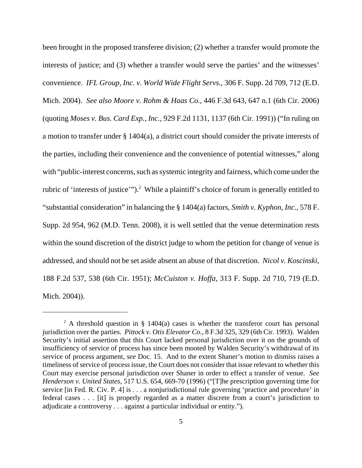been brought in the proposed transferee division; (2) whether a transfer would promote the interests of justice; and (3) whether a transfer would serve the parties' and the witnesses' convenience. *IFL Group, Inc. v. World Wide Flight Servs.*, 306 F. Supp. 2d 709, 712 (E.D. Mich. 2004). *See also Moore v. Rohm & Haas Co.*, 446 F.3d 643, 647 n.1 (6th Cir. 2006) (quoting *Moses v. Bus. Card Exp., Inc.*, 929 F.2d 1131, 1137 (6th Cir. 1991)) ("In ruling on a motion to transfer under § 1404(a), a district court should consider the private interests of the parties, including their convenience and the convenience of potential witnesses," along with "public-interest concerns, such as systemic integrity and fairness, which come under the rubric of 'interests of justice'").<sup>2</sup> While a plaintiff's choice of forum is generally entitled to "substantial consideration" in balancing the § 1404(a) factors, *Smith v. Kyphon, Inc.*, 578 F. Supp. 2d 954, 962 (M.D. Tenn. 2008), it is well settled that the venue determination rests within the sound discretion of the district judge to whom the petition for change of venue is addressed, and should not be set aside absent an abuse of that discretion. *Nicol v. Koscinski*, 188 F.2d 537, 538 (6th Cir. 1951); *McCuiston v. Hoffa*, 313 F. Supp. 2d 710, 719 (E.D. Mich. 2004)).

<sup>&</sup>lt;sup>2</sup> A threshold question in § 1404(a) cases is whether the transferor court has personal jurisdiction over the parties. *Pittock v. Otis Elevator Co.*, 8 F.3d 325, 329 (6th Cir. 1993). Walden Security's initial assertion that this Court lacked personal jurisdiction over it on the grounds of insufficiency of service of process has since been mooted by Walden Security's withdrawal of its service of process argument, *see* Doc. 15. And to the extent Shaner's motion to dismiss raises a timeliness of service of process issue, the Court does not consider that issue relevant to whether this Court may exercise personal jurisdiction over Shaner in order to effect a transfer of venue. *See Henderson v. United States*, 517 U.S. 654, 669-70 (1996) ("[T]he prescription governing time for service [in Fed. R. Civ. P. 4] is . . . a nonjurisdictional rule governing 'practice and procedure' in federal cases . . . [it] is properly regarded as a matter discrete from a court's jurisdiction to adjudicate a controversy . . . against a particular individual or entity.").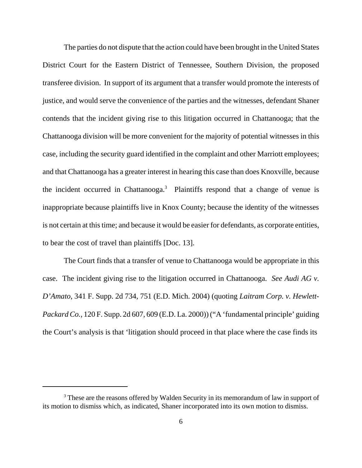The parties do not dispute that the action could have been brought in the United States District Court for the Eastern District of Tennessee, Southern Division, the proposed transferee division. In support of its argument that a transfer would promote the interests of justice, and would serve the convenience of the parties and the witnesses, defendant Shaner contends that the incident giving rise to this litigation occurred in Chattanooga; that the Chattanooga division will be more convenient for the majority of potential witnesses in this case, including the security guard identified in the complaint and other Marriott employees; and that Chattanooga has a greater interest in hearing this case than does Knoxville, because the incident occurred in Chattanooga.<sup>3</sup> Plaintiffs respond that a change of venue is inappropriate because plaintiffs live in Knox County; because the identity of the witnesses is not certain at this time; and because it would be easier for defendants, as corporate entities, to bear the cost of travel than plaintiffs [Doc. 13].

The Court finds that a transfer of venue to Chattanooga would be appropriate in this case. The incident giving rise to the litigation occurred in Chattanooga. *See Audi AG v. D'Amato*, 341 F. Supp. 2d 734, 751 (E.D. Mich. 2004) (quoting *Laitram Corp. v. Hewlett-Packard Co.*, 120 F. Supp. 2d 607, 609 (E.D. La. 2000)) ("A 'fundamental principle' guiding the Court's analysis is that 'litigation should proceed in that place where the case finds its

<sup>&</sup>lt;sup>3</sup> These are the reasons offered by Walden Security in its memorandum of law in support of its motion to dismiss which, as indicated, Shaner incorporated into its own motion to dismiss.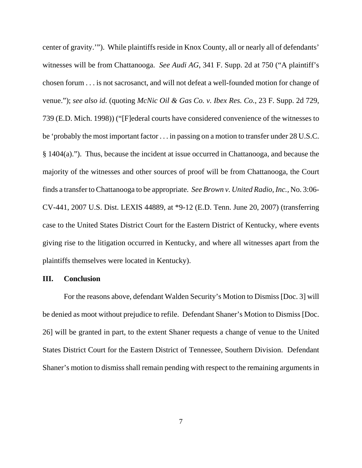center of gravity.'"). While plaintiffs reside in Knox County, all or nearly all of defendants' witnesses will be from Chattanooga. *See Audi AG*, 341 F. Supp. 2d at 750 ("A plaintiff's chosen forum . . . is not sacrosanct, and will not defeat a well-founded motion for change of venue."); *see also id.* (quoting *McNic Oil & Gas Co. v. Ibex Res. Co.*, 23 F. Supp. 2d 729, 739 (E.D. Mich. 1998)) ("[F]ederal courts have considered convenience of the witnesses to be 'probably the most important factor . . . in passing on a motion to transfer under 28 U.S.C. § 1404(a)."). Thus, because the incident at issue occurred in Chattanooga, and because the majority of the witnesses and other sources of proof will be from Chattanooga, the Court finds a transfer to Chattanooga to be appropriate. *See Brown v. United Radio, Inc.,* No. 3:06- CV-441, 2007 U.S. Dist. LEXIS 44889, at \*9-12 (E.D. Tenn. June 20, 2007) (transferring case to the United States District Court for the Eastern District of Kentucky, where events giving rise to the litigation occurred in Kentucky, and where all witnesses apart from the plaintiffs themselves were located in Kentucky).

## **III. Conclusion**

For the reasons above, defendant Walden Security's Motion to Dismiss [Doc. 3] will be denied as moot without prejudice to refile. Defendant Shaner's Motion to Dismiss [Doc. 26] will be granted in part, to the extent Shaner requests a change of venue to the United States District Court for the Eastern District of Tennessee, Southern Division. Defendant Shaner's motion to dismiss shall remain pending with respect to the remaining arguments in